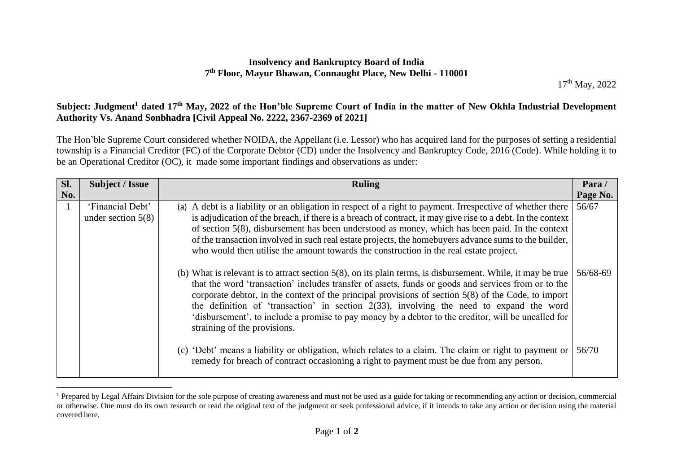## **Insolvency and Bankruptcy Board of India 7 th Floor, Mayur Bhawan, Connaught Place, New Delhi - 110001**

17<sup>th</sup> May, 2022

## **Subject: Judgment<sup>1</sup> dated 17th May, 2022 of the Hon'ble Supreme Court of India in the matter of New Okhla Industrial Development Authority Vs. Anand Sonbhadra [Civil Appeal No. 2222, 2367-2369 of 2021]**

The Hon'ble Supreme Court considered whether NOIDA, the Appellant (i.e. Lessor) who has acquired land for the purposes of setting a residential township is a Financial Creditor (FC) of the Corporate Debtor (CD) under the Insolvency and Bankruptcy Code, 2016 (Code). While holding it to be an Operational Creditor (OC), it made some important findings and observations as under:

| Sl.<br>No. | Subject / Issue                          | <b>Ruling</b>                                                                                                                                                                                                                                                                                                                                                                                                                                                                                                                                                                                                                                                                                                                                                                                                                                                                                                                                                      | Para/<br>Page No. |
|------------|------------------------------------------|--------------------------------------------------------------------------------------------------------------------------------------------------------------------------------------------------------------------------------------------------------------------------------------------------------------------------------------------------------------------------------------------------------------------------------------------------------------------------------------------------------------------------------------------------------------------------------------------------------------------------------------------------------------------------------------------------------------------------------------------------------------------------------------------------------------------------------------------------------------------------------------------------------------------------------------------------------------------|-------------------|
|            | 'Financial Debt'<br>under section $5(8)$ | (a) A debt is a liability or an obligation in respect of a right to payment. Irrespective of whether there<br>is adjudication of the breach, if there is a breach of contract, it may give rise to a debt. In the context<br>of section $5(8)$ , disbursement has been understood as money, which has been paid. In the context<br>of the transaction involved in such real estate projects, the homebuyers advance sums to the builder,<br>who would then utilise the amount towards the construction in the real estate project.<br>(b) What is relevant is to attract section $5(8)$ , on its plain terms, is disbursement. While, it may be true<br>that the word 'transaction' includes transfer of assets, funds or goods and services from or to the<br>corporate debtor, in the context of the principal provisions of section $5(8)$ of the Code, to import<br>the definition of 'transaction' in section $2(33)$ , involving the need to expand the word | 56/67<br>56/68-69 |
|            |                                          | 'disbursement', to include a promise to pay money by a debtor to the creditor, will be uncalled for<br>straining of the provisions.<br>(c) 'Debt' means a liability or obligation, which relates to a claim. The claim or right to payment or<br>remedy for breach of contract occasioning a right to payment must be due from any person.                                                                                                                                                                                                                                                                                                                                                                                                                                                                                                                                                                                                                         | 56/70             |

<sup>&</sup>lt;sup>1</sup> Prepared by Legal Affairs Division for the sole purpose of creating awareness and must not be used as a guide for taking or recommending any action or decision, commercial or otherwise. One must do its own research or read the original text of the judgment or seek professional advice, if it intends to take any action or decision using the material covered here.